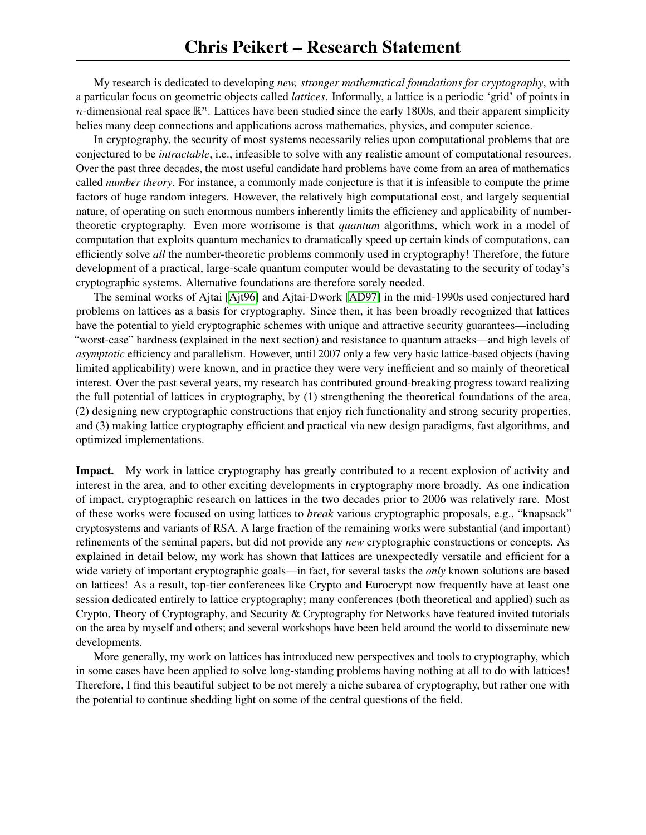My research is dedicated to developing *new, stronger mathematical foundations for cryptography*, with a particular focus on geometric objects called *lattices*. Informally, a lattice is a periodic 'grid' of points in n-dimensional real space  $\mathbb{R}^n$ . Lattices have been studied since the early 1800s, and their apparent simplicity belies many deep connections and applications across mathematics, physics, and computer science.

In cryptography, the security of most systems necessarily relies upon computational problems that are conjectured to be *intractable*, i.e., infeasible to solve with any realistic amount of computational resources. Over the past three decades, the most useful candidate hard problems have come from an area of mathematics called *number theory*. For instance, a commonly made conjecture is that it is infeasible to compute the prime factors of huge random integers. However, the relatively high computational cost, and largely sequential nature, of operating on such enormous numbers inherently limits the efficiency and applicability of numbertheoretic cryptography. Even more worrisome is that *quantum* algorithms, which work in a model of computation that exploits quantum mechanics to dramatically speed up certain kinds of computations, can efficiently solve *all* the number-theoretic problems commonly used in cryptography! Therefore, the future development of a practical, large-scale quantum computer would be devastating to the security of today's cryptographic systems. Alternative foundations are therefore sorely needed.

The seminal works of Ajtai [\[Ajt96\]](#page-6-0) and Ajtai-Dwork [\[AD97\]](#page-6-1) in the mid-1990s used conjectured hard problems on lattices as a basis for cryptography. Since then, it has been broadly recognized that lattices have the potential to yield cryptographic schemes with unique and attractive security guarantees—including "worst-case" hardness (explained in the next section) and resistance to quantum attacks—and high levels of *asymptotic* efficiency and parallelism. However, until 2007 only a few very basic lattice-based objects (having limited applicability) were known, and in practice they were very inefficient and so mainly of theoretical interest. Over the past several years, my research has contributed ground-breaking progress toward realizing the full potential of lattices in cryptography, by (1) strengthening the theoretical foundations of the area, (2) designing new cryptographic constructions that enjoy rich functionality and strong security properties, and (3) making lattice cryptography efficient and practical via new design paradigms, fast algorithms, and optimized implementations.

Impact. My work in lattice cryptography has greatly contributed to a recent explosion of activity and interest in the area, and to other exciting developments in cryptography more broadly. As one indication of impact, cryptographic research on lattices in the two decades prior to 2006 was relatively rare. Most of these works were focused on using lattices to *break* various cryptographic proposals, e.g., "knapsack" cryptosystems and variants of RSA. A large fraction of the remaining works were substantial (and important) refinements of the seminal papers, but did not provide any *new* cryptographic constructions or concepts. As explained in detail below, my work has shown that lattices are unexpectedly versatile and efficient for a wide variety of important cryptographic goals—in fact, for several tasks the *only* known solutions are based on lattices! As a result, top-tier conferences like Crypto and Eurocrypt now frequently have at least one session dedicated entirely to lattice cryptography; many conferences (both theoretical and applied) such as Crypto, Theory of Cryptography, and Security & Cryptography for Networks have featured invited tutorials on the area by myself and others; and several workshops have been held around the world to disseminate new developments.

More generally, my work on lattices has introduced new perspectives and tools to cryptography, which in some cases have been applied to solve long-standing problems having nothing at all to do with lattices! Therefore, I find this beautiful subject to be not merely a niche subarea of cryptography, but rather one with the potential to continue shedding light on some of the central questions of the field.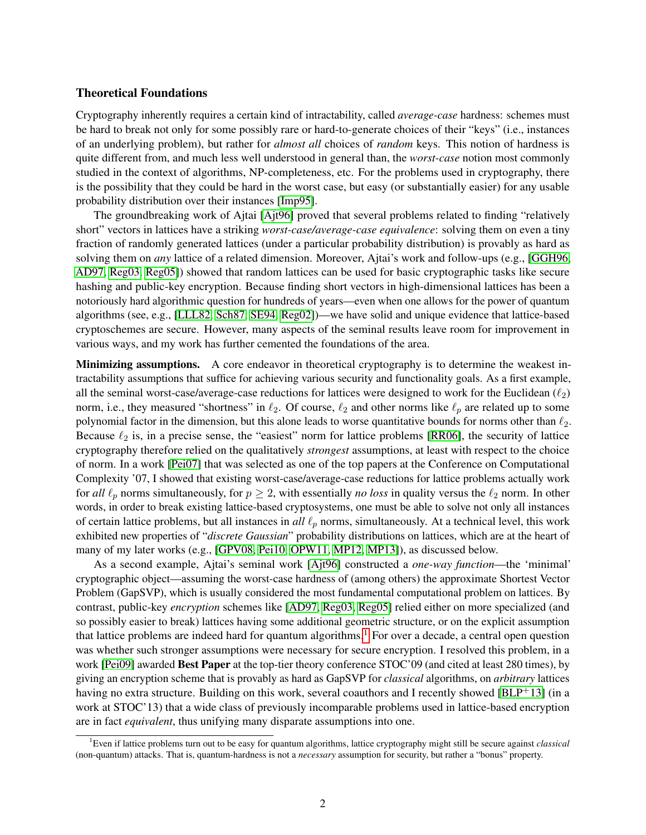#### Theoretical Foundations

Cryptography inherently requires a certain kind of intractability, called *average-case* hardness: schemes must be hard to break not only for some possibly rare or hard-to-generate choices of their "keys" (i.e., instances of an underlying problem), but rather for *almost all* choices of *random* keys. This notion of hardness is quite different from, and much less well understood in general than, the *worst-case* notion most commonly studied in the context of algorithms, NP-completeness, etc. For the problems used in cryptography, there is the possibility that they could be hard in the worst case, but easy (or substantially easier) for any usable probability distribution over their instances [\[Imp95\]](#page-9-0).

The groundbreaking work of Ajtai [\[Ajt96\]](#page-6-0) proved that several problems related to finding "relatively short" vectors in lattices have a striking *worst-case/average-case equivalence*: solving them on even a tiny fraction of randomly generated lattices (under a particular probability distribution) is provably as hard as solving them on *any* lattice of a related dimension. Moreover, Ajtai's work and follow-ups (e.g., [\[GGH96,](#page-8-0) [AD97,](#page-6-1) [Reg03,](#page-11-0) [Reg05\]](#page-11-1)) showed that random lattices can be used for basic cryptographic tasks like secure hashing and public-key encryption. Because finding short vectors in high-dimensional lattices has been a notoriously hard algorithmic question for hundreds of years—even when one allows for the power of quantum algorithms (see, e.g., [\[LLL82,](#page-9-1) [Sch87,](#page-11-2) [SE94,](#page-11-3) [Reg02\]](#page-10-0))—we have solid and unique evidence that lattice-based cryptoschemes are secure. However, many aspects of the seminal results leave room for improvement in various ways, and my work has further cemented the foundations of the area.

Minimizing assumptions. A core endeavor in theoretical cryptography is to determine the weakest intractability assumptions that suffice for achieving various security and functionality goals. As a first example, all the seminal worst-case/average-case reductions for lattices were designed to work for the Euclidean  $(\ell_2)$ norm, i.e., they measured "shortness" in  $\ell_2$ . Of course,  $\ell_2$  and other norms like  $\ell_p$  are related up to some polynomial factor in the dimension, but this alone leads to worse quantitative bounds for norms other than  $\ell_2$ . Because  $\ell_2$  is, in a precise sense, the "easiest" norm for lattice problems [\[RR06\]](#page-11-4), the security of lattice cryptography therefore relied on the qualitatively *strongest* assumptions, at least with respect to the choice of norm. In a work [\[Pei07\]](#page-10-1) that was selected as one of the top papers at the Conference on Computational Complexity '07, I showed that existing worst-case/average-case reductions for lattice problems actually work for *all*  $\ell_p$  norms simultaneously, for  $p \geq 2$ , with essentially *no loss* in quality versus the  $\ell_2$  norm. In other words, in order to break existing lattice-based cryptosystems, one must be able to solve not only all instances of certain lattice problems, but all instances in  $all \ell_p$  norms, simultaneously. At a technical level, this work exhibited new properties of "*discrete Gaussian*" probability distributions on lattices, which are at the heart of many of my later works (e.g., [\[GPV08,](#page-9-2) [Pei10,](#page-10-2) [OPW11,](#page-10-3) [MP12,](#page-10-4) [MP13\]](#page-10-5)), as discussed below.

As a second example, Ajtai's seminal work [\[Ajt96\]](#page-6-0) constructed a *one-way function*—the 'minimal' cryptographic object—assuming the worst-case hardness of (among others) the approximate Shortest Vector Problem (GapSVP), which is usually considered the most fundamental computational problem on lattices. By contrast, public-key *encryption* schemes like [\[AD97,](#page-6-1) [Reg03,](#page-11-0) [Reg05\]](#page-11-1) relied either on more specialized (and so possibly easier to break) lattices having some additional geometric structure, or on the explicit assumption that lattice problems are indeed hard for quantum algorithms.<sup>[1](#page-1-0)</sup> For over a decade, a central open question was whether such stronger assumptions were necessary for secure encryption. I resolved this problem, in a work [\[Pei09\]](#page-10-6) awarded Best Paper at the top-tier theory conference STOC'09 (and cited at least 280 times), by giving an encryption scheme that is provably as hard as GapSVP for *classical* algorithms, on *arbitrary* lattices having no extra structure. Building on this work, several coauthors and I recently showed [\[BLP](#page-8-1)+13] (in a work at STOC'13) that a wide class of previously incomparable problems used in lattice-based encryption are in fact *equivalent*, thus unifying many disparate assumptions into one.

<span id="page-1-0"></span><sup>1</sup>Even if lattice problems turn out to be easy for quantum algorithms, lattice cryptography might still be secure against *classical* (non-quantum) attacks. That is, quantum-hardness is not a *necessary* assumption for security, but rather a "bonus" property.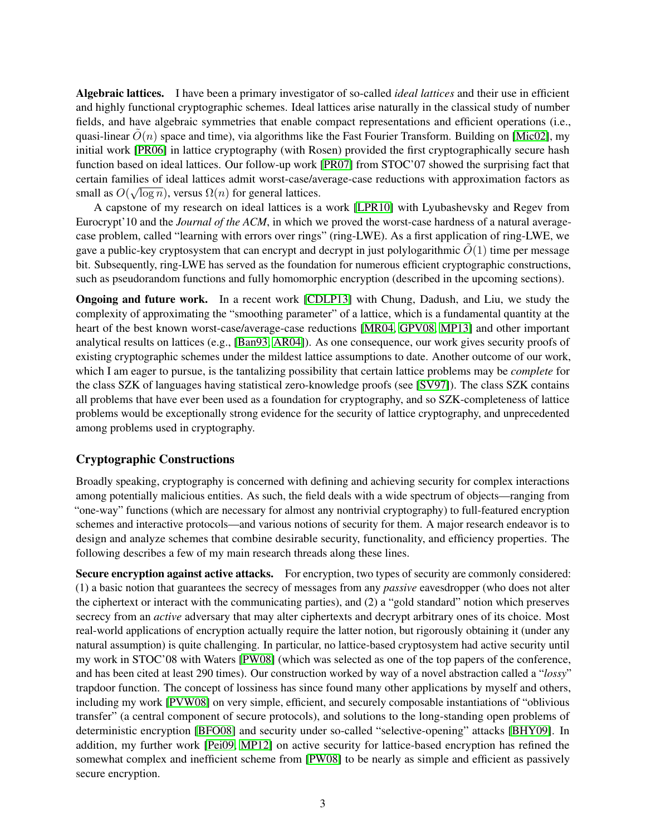Algebraic lattices. I have been a primary investigator of so-called *ideal lattices* and their use in efficient and highly functional cryptographic schemes. Ideal lattices arise naturally in the classical study of number fields, and have algebraic symmetries that enable compact representations and efficient operations (i.e., quasi-linear  $\tilde{O}(n)$  space and time), via algorithms like the Fast Fourier Transform. Building on [\[Mic02\]](#page-10-7), my initial work [\[PR06\]](#page-10-8) in lattice cryptography (with Rosen) provided the first cryptographically secure hash function based on ideal lattices. Our follow-up work [\[PR07\]](#page-10-9) from STOC'07 showed the surprising fact that certain families of ideal lattices admit worst-case/average-case reductions with approximation factors as √ small as  $O(\sqrt{\log n})$ , versus  $\Omega(n)$  for general lattices.

A capstone of my research on ideal lattices is a work [\[LPR10\]](#page-9-3) with Lyubashevsky and Regev from Eurocrypt'10 and the *Journal of the ACM*, in which we proved the worst-case hardness of a natural averagecase problem, called "learning with errors over rings" (ring-LWE). As a first application of ring-LWE, we gave a public-key cryptosystem that can encrypt and decrypt in just polylogarithmic  $\tilde{O}(1)$  time per message bit. Subsequently, ring-LWE has served as the foundation for numerous efficient cryptographic constructions, such as pseudorandom functions and fully homomorphic encryption (described in the upcoming sections).

Ongoing and future work. In a recent work [\[CDLP13\]](#page-8-2) with Chung, Dadush, and Liu, we study the complexity of approximating the "smoothing parameter" of a lattice, which is a fundamental quantity at the heart of the best known worst-case/average-case reductions [\[MR04,](#page-10-10) [GPV08,](#page-9-2) [MP13\]](#page-10-5) and other important analytical results on lattices (e.g., [\[Ban93,](#page-7-0) [AR04\]](#page-7-1)). As one consequence, our work gives security proofs of existing cryptographic schemes under the mildest lattice assumptions to date. Another outcome of our work, which I am eager to pursue, is the tantalizing possibility that certain lattice problems may be *complete* for the class SZK of languages having statistical zero-knowledge proofs (see [\[SV97\]](#page-11-5)). The class SZK contains all problems that have ever been used as a foundation for cryptography, and so SZK-completeness of lattice problems would be exceptionally strong evidence for the security of lattice cryptography, and unprecedented among problems used in cryptography.

# Cryptographic Constructions

Broadly speaking, cryptography is concerned with defining and achieving security for complex interactions among potentially malicious entities. As such, the field deals with a wide spectrum of objects—ranging from "one-way" functions (which are necessary for almost any nontrivial cryptography) to full-featured encryption schemes and interactive protocols—and various notions of security for them. A major research endeavor is to design and analyze schemes that combine desirable security, functionality, and efficiency properties. The following describes a few of my main research threads along these lines.

Secure encryption against active attacks. For encryption, two types of security are commonly considered: (1) a basic notion that guarantees the secrecy of messages from any *passive* eavesdropper (who does not alter the ciphertext or interact with the communicating parties), and (2) a "gold standard" notion which preserves secrecy from an *active* adversary that may alter ciphertexts and decrypt arbitrary ones of its choice. Most real-world applications of encryption actually require the latter notion, but rigorously obtaining it (under any natural assumption) is quite challenging. In particular, no lattice-based cryptosystem had active security until my work in STOC'08 with Waters [\[PW08\]](#page-10-11) (which was selected as one of the top papers of the conference, and has been cited at least 290 times). Our construction worked by way of a novel abstraction called a "*lossy*" trapdoor function. The concept of lossiness has since found many other applications by myself and others, including my work [\[PVW08\]](#page-10-12) on very simple, efficient, and securely composable instantiations of "oblivious transfer" (a central component of secure protocols), and solutions to the long-standing open problems of deterministic encryption [\[BFO08\]](#page-7-2) and security under so-called "selective-opening" attacks [\[BHY09\]](#page-7-3). In addition, my further work [\[Pei09,](#page-10-6) [MP12\]](#page-10-4) on active security for lattice-based encryption has refined the somewhat complex and inefficient scheme from [\[PW08\]](#page-10-11) to be nearly as simple and efficient as passively secure encryption.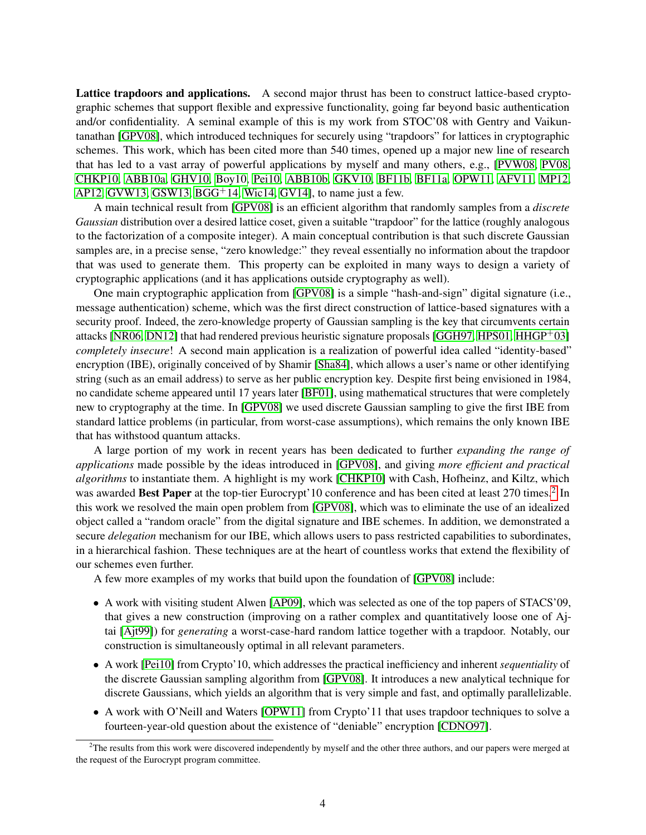Lattice trapdoors and applications. A second major thrust has been to construct lattice-based cryptographic schemes that support flexible and expressive functionality, going far beyond basic authentication and/or confidentiality. A seminal example of this is my work from STOC'08 with Gentry and Vaikuntanathan [\[GPV08\]](#page-9-2), which introduced techniques for securely using "trapdoors" for lattices in cryptographic schemes. This work, which has been cited more than 540 times, opened up a major new line of research that has led to a vast array of powerful applications by myself and many others, e.g., [\[PVW08,](#page-10-12) [PV08,](#page-10-13) [CHKP10,](#page-8-3) [ABB10a,](#page-6-2) [GHV10,](#page-9-4) [Boy10,](#page-8-4) [Pei10,](#page-10-2) [ABB10b,](#page-6-3) [GKV10,](#page-9-5) [BF11b,](#page-7-4) [BF11a,](#page-7-5) [OPW11,](#page-10-3) [AFV11,](#page-6-4) [MP12,](#page-10-4) [AP12,](#page-7-6) [GVW13,](#page-9-6) [GSW13,](#page-9-7)  $BGG<sup>+</sup>14$ , [Wic14,](#page-11-6) [GV14\]](#page-9-8), to name just a few.

A main technical result from [\[GPV08\]](#page-9-2) is an efficient algorithm that randomly samples from a *discrete Gaussian* distribution over a desired lattice coset, given a suitable "trapdoor" for the lattice (roughly analogous to the factorization of a composite integer). A main conceptual contribution is that such discrete Gaussian samples are, in a precise sense, "zero knowledge:" they reveal essentially no information about the trapdoor that was used to generate them. This property can be exploited in many ways to design a variety of cryptographic applications (and it has applications outside cryptography as well).

One main cryptographic application from [\[GPV08\]](#page-9-2) is a simple "hash-and-sign" digital signature (i.e., message authentication) scheme, which was the first direct construction of lattice-based signatures with a security proof. Indeed, the zero-knowledge property of Gaussian sampling is the key that circumvents certain attacks [\[NR06,](#page-10-14) [DN12\]](#page-8-5) that had rendered previous heuristic signature proposals [\[GGH97,](#page-8-6) [HPS01,](#page-9-9) [HHGP](#page-9-10)+03] *completely insecure*! A second main application is a realization of powerful idea called "identity-based" encryption (IBE), originally conceived of by Shamir [\[Sha84\]](#page-11-7), which allows a user's name or other identifying string (such as an email address) to serve as her public encryption key. Despite first being envisioned in 1984, no candidate scheme appeared until 17 years later [\[BF01\]](#page-7-8), using mathematical structures that were completely new to cryptography at the time. In [\[GPV08\]](#page-9-2) we used discrete Gaussian sampling to give the first IBE from standard lattice problems (in particular, from worst-case assumptions), which remains the only known IBE that has withstood quantum attacks.

A large portion of my work in recent years has been dedicated to further *expanding the range of applications* made possible by the ideas introduced in [\[GPV08\]](#page-9-2), and giving *more efficient and practical algorithms* to instantiate them. A highlight is my work [\[CHKP10\]](#page-8-3) with Cash, Hofheinz, and Kiltz, which was awarded Best Paper at the top-tier Eurocrypt'10 conference and has been cited at least [2](#page-3-0)70 times.<sup>2</sup> In this work we resolved the main open problem from [\[GPV08\]](#page-9-2), which was to eliminate the use of an idealized object called a "random oracle" from the digital signature and IBE schemes. In addition, we demonstrated a secure *delegation* mechanism for our IBE, which allows users to pass restricted capabilities to subordinates, in a hierarchical fashion. These techniques are at the heart of countless works that extend the flexibility of our schemes even further.

A few more examples of my works that build upon the foundation of [\[GPV08\]](#page-9-2) include:

- A work with visiting student Alwen [\[AP09\]](#page-7-9), which was selected as one of the top papers of STACS'09, that gives a new construction (improving on a rather complex and quantitatively loose one of Ajtai [\[Ajt99\]](#page-7-10)) for *generating* a worst-case-hard random lattice together with a trapdoor. Notably, our construction is simultaneously optimal in all relevant parameters.
- A work [\[Pei10\]](#page-10-2) from Crypto'10, which addresses the practical inefficiency and inherent *sequentiality* of the discrete Gaussian sampling algorithm from [\[GPV08\]](#page-9-2). It introduces a new analytical technique for discrete Gaussians, which yields an algorithm that is very simple and fast, and optimally parallelizable.
- A work with O'Neill and Waters [\[OPW11\]](#page-10-3) from Crypto'11 that uses trapdoor techniques to solve a fourteen-year-old question about the existence of "deniable" encryption [\[CDNO97\]](#page-8-7).

<span id="page-3-0"></span><sup>&</sup>lt;sup>2</sup>The results from this work were discovered independently by myself and the other three authors, and our papers were merged at the request of the Eurocrypt program committee.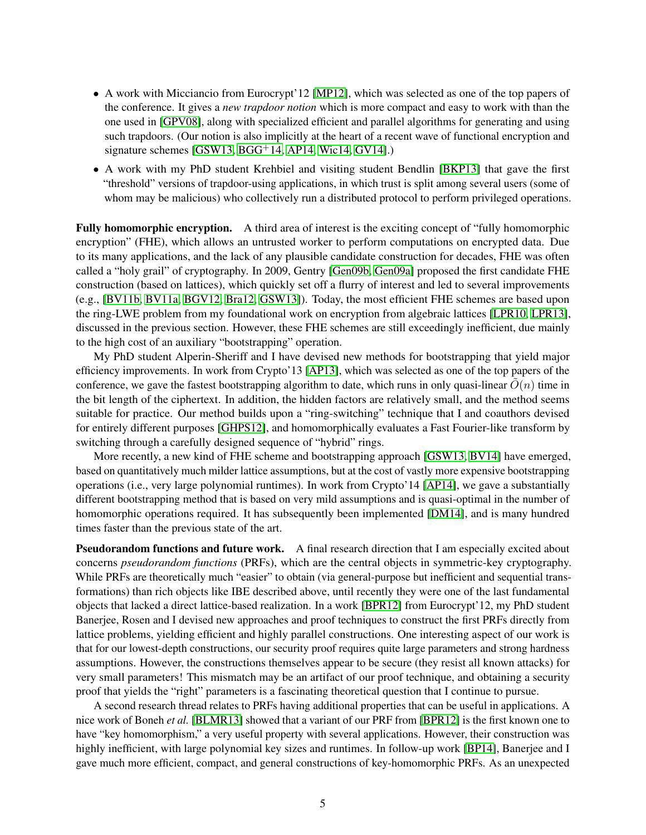- A work with Micciancio from Eurocrypt'12 [\[MP12\]](#page-10-4), which was selected as one of the top papers of the conference. It gives a *new trapdoor notion* which is more compact and easy to work with than the one used in [\[GPV08\]](#page-9-2), along with specialized efficient and parallel algorithms for generating and using such trapdoors. (Our notion is also implicitly at the heart of a recent wave of functional encryption and signature schemes  $[GSW13, BGG<sup>+</sup>14, API4, Wic14, GV14]$  $[GSW13, BGG<sup>+</sup>14, API4, Wic14, GV14]$  $[GSW13, BGG<sup>+</sup>14, API4, Wic14, GV14]$  $[GSW13, BGG<sup>+</sup>14, API4, Wic14, GV14]$  $[GSW13, BGG<sup>+</sup>14, API4, Wic14, GV14]$ .)
- A work with my PhD student Krehbiel and visiting student Bendlin [\[BKP13\]](#page-7-12) that gave the first "threshold" versions of trapdoor-using applications, in which trust is split among several users (some of whom may be malicious) who collectively run a distributed protocol to perform privileged operations.

Fully homomorphic encryption. A third area of interest is the exciting concept of "fully homomorphic encryption" (FHE), which allows an untrusted worker to perform computations on encrypted data. Due to its many applications, and the lack of any plausible candidate construction for decades, FHE was often called a "holy grail" of cryptography. In 2009, Gentry [\[Gen09b,](#page-8-8) [Gen09a\]](#page-8-9) proposed the first candidate FHE construction (based on lattices), which quickly set off a flurry of interest and led to several improvements (e.g., [\[BV11b,](#page-8-10) [BV11a,](#page-8-11) [BGV12,](#page-7-13) [Bra12,](#page-8-12) [GSW13\]](#page-9-7)). Today, the most efficient FHE schemes are based upon the ring-LWE problem from my foundational work on encryption from algebraic lattices [\[LPR10,](#page-9-3) [LPR13\]](#page-10-15), discussed in the previous section. However, these FHE schemes are still exceedingly inefficient, due mainly to the high cost of an auxiliary "bootstrapping" operation.

My PhD student Alperin-Sheriff and I have devised new methods for bootstrapping that yield major efficiency improvements. In work from Crypto'13 [\[AP13\]](#page-7-14), which was selected as one of the top papers of the conference, we gave the fastest bootstrapping algorithm to date, which runs in only quasi-linear  $\tilde{O}(n)$  time in the bit length of the ciphertext. In addition, the hidden factors are relatively small, and the method seems suitable for practice. Our method builds upon a "ring-switching" technique that I and coauthors devised for entirely different purposes [\[GHPS12\]](#page-9-11), and homomorphically evaluates a Fast Fourier-like transform by switching through a carefully designed sequence of "hybrid" rings.

More recently, a new kind of FHE scheme and bootstrapping approach [\[GSW13,](#page-9-7) [BV14\]](#page-8-13) have emerged, based on quantitatively much milder lattice assumptions, but at the cost of vastly more expensive bootstrapping operations (i.e., very large polynomial runtimes). In work from Crypto'14 [\[AP14\]](#page-7-11), we gave a substantially different bootstrapping method that is based on very mild assumptions and is quasi-optimal in the number of homomorphic operations required. It has subsequently been implemented [\[DM14\]](#page-8-14), and is many hundred times faster than the previous state of the art.

Pseudorandom functions and future work. A final research direction that I am especially excited about concerns *pseudorandom functions* (PRFs), which are the central objects in symmetric-key cryptography. While PRFs are theoretically much "easier" to obtain (via general-purpose but inefficient and sequential transformations) than rich objects like IBE described above, until recently they were one of the last fundamental objects that lacked a direct lattice-based realization. In a work [\[BPR12\]](#page-8-15) from Eurocrypt'12, my PhD student Banerjee, Rosen and I devised new approaches and proof techniques to construct the first PRFs directly from lattice problems, yielding efficient and highly parallel constructions. One interesting aspect of our work is that for our lowest-depth constructions, our security proof requires quite large parameters and strong hardness assumptions. However, the constructions themselves appear to be secure (they resist all known attacks) for very small parameters! This mismatch may be an artifact of our proof technique, and obtaining a security proof that yields the "right" parameters is a fascinating theoretical question that I continue to pursue.

A second research thread relates to PRFs having additional properties that can be useful in applications. A nice work of Boneh *et al.* [\[BLMR13\]](#page-7-15) showed that a variant of our PRF from [\[BPR12\]](#page-8-15) is the first known one to have "key homomorphism," a very useful property with several applications. However, their construction was highly inefficient, with large polynomial key sizes and runtimes. In follow-up work [\[BP14\]](#page-8-16), Banerjee and I gave much more efficient, compact, and general constructions of key-homomorphic PRFs. As an unexpected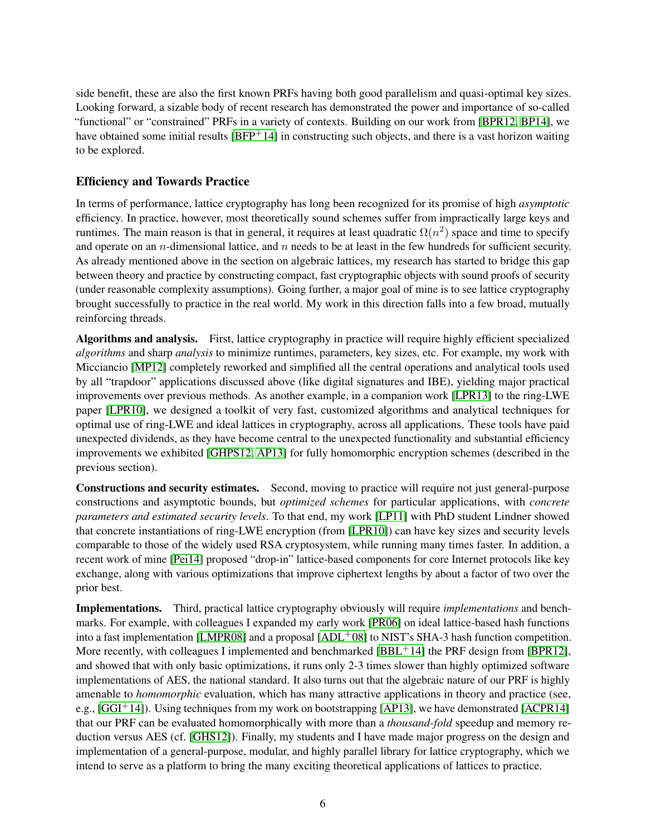side benefit, these are also the first known PRFs having both good parallelism and quasi-optimal key sizes. Looking forward, a sizable body of recent research has demonstrated the power and importance of so-called "functional" or "constrained" PRFs in a variety of contexts. Building on our work from [\[BPR12,](#page-8-15) [BP14\]](#page-8-16), we have obtained some initial results [\[BFP](#page-7-16)<sup>+</sup>14] in constructing such objects, and there is a vast horizon waiting to be explored.

# Efficiency and Towards Practice

In terms of performance, lattice cryptography has long been recognized for its promise of high *asymptotic* efficiency. In practice, however, most theoretically sound schemes suffer from impractically large keys and runtimes. The main reason is that in general, it requires at least quadratic  $\Omega(n^2)$  space and time to specify and operate on an *n*-dimensional lattice, and *n* needs to be at least in the few hundreds for sufficient security. As already mentioned above in the section on algebraic lattices, my research has started to bridge this gap between theory and practice by constructing compact, fast cryptographic objects with sound proofs of security (under reasonable complexity assumptions). Going further, a major goal of mine is to see lattice cryptography brought successfully to practice in the real world. My work in this direction falls into a few broad, mutually reinforcing threads.

Algorithms and analysis. First, lattice cryptography in practice will require highly efficient specialized *algorithms* and sharp *analysis* to minimize runtimes, parameters, key sizes, etc. For example, my work with Micciancio [\[MP12\]](#page-10-4) completely reworked and simplified all the central operations and analytical tools used by all "trapdoor" applications discussed above (like digital signatures and IBE), yielding major practical improvements over previous methods. As another example, in a companion work [\[LPR13\]](#page-10-15) to the ring-LWE paper [\[LPR10\]](#page-9-3), we designed a toolkit of very fast, customized algorithms and analytical techniques for optimal use of ring-LWE and ideal lattices in cryptography, across all applications. These tools have paid unexpected dividends, as they have become central to the unexpected functionality and substantial efficiency improvements we exhibited [\[GHPS12,](#page-9-11) [AP13\]](#page-7-14) for fully homomorphic encryption schemes (described in the previous section).

Constructions and security estimates. Second, moving to practice will require not just general-purpose constructions and asymptotic bounds, but *optimized schemes* for particular applications, with *concrete parameters and estimated security levels*. To that end, my work [\[LP11\]](#page-9-12) with PhD student Lindner showed that concrete instantiations of ring-LWE encryption (from [\[LPR10\]](#page-9-3)) can have key sizes and security levels comparable to those of the widely used RSA cryptosystem, while running many times faster. In addition, a recent work of mine [\[Pei14\]](#page-10-16) proposed "drop-in" lattice-based components for core Internet protocols like key exchange, along with various optimizations that improve ciphertext lengths by about a factor of two over the prior best.

Implementations. Third, practical lattice cryptography obviously will require *implementations* and benchmarks. For example, with colleagues I expanded my early work [\[PR06\]](#page-10-8) on ideal lattice-based hash functions into a fast implementation [\[LMPR08\]](#page-9-13) and a proposal  $[ADL<sup>+</sup>08]$  $[ADL<sup>+</sup>08]$  to NIST's SHA-3 hash function competition. More recently, with colleagues I implemented and benchmarked  $[BBL<sup>+</sup>14]$  $[BBL<sup>+</sup>14]$  the PRF design from  $[BPR12]$ , and showed that with only basic optimizations, it runs only 2-3 times slower than highly optimized software implementations of AES, the national standard. It also turns out that the algebraic nature of our PRF is highly amenable to *homomorphic* evaluation, which has many attractive applications in theory and practice (see, e.g.,  $[GGI<sup>+</sup>14]$  $[GGI<sup>+</sup>14]$ ). Using techniques from my work on bootstrapping [\[AP13\]](#page-7-14), we have demonstrated [\[ACPR14\]](#page-6-6) that our PRF can be evaluated homomorphically with more than a *thousand-fold* speedup and memory reduction versus AES (cf. [\[GHS12\]](#page-9-15)). Finally, my students and I have made major progress on the design and implementation of a general-purpose, modular, and highly parallel library for lattice cryptography, which we intend to serve as a platform to bring the many exciting theoretical applications of lattices to practice.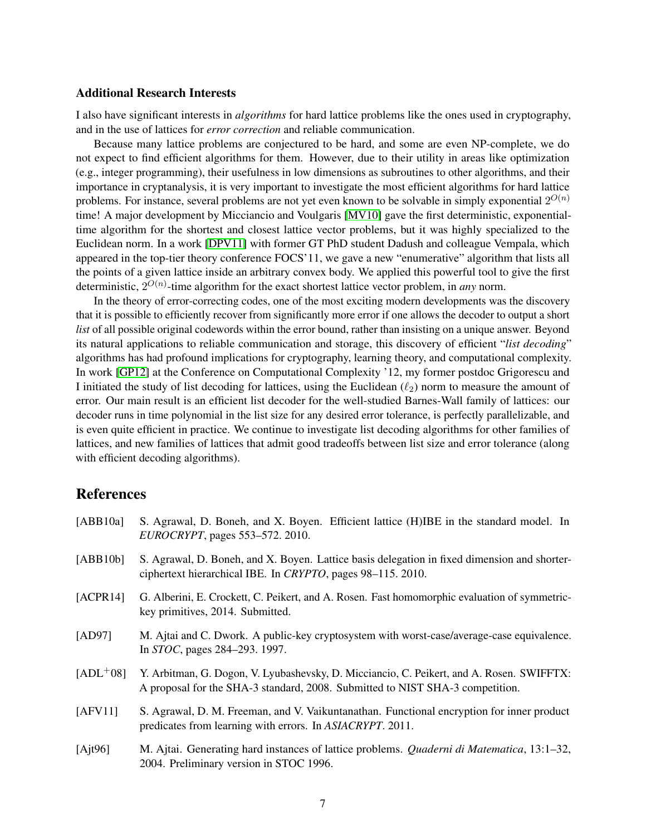#### Additional Research Interests

I also have significant interests in *algorithms* for hard lattice problems like the ones used in cryptography, and in the use of lattices for *error correction* and reliable communication.

Because many lattice problems are conjectured to be hard, and some are even NP-complete, we do not expect to find efficient algorithms for them. However, due to their utility in areas like optimization (e.g., integer programming), their usefulness in low dimensions as subroutines to other algorithms, and their importance in cryptanalysis, it is very important to investigate the most efficient algorithms for hard lattice problems. For instance, several problems are not yet even known to be solvable in simply exponential  $2^{O(n)}$ time! A major development by Micciancio and Voulgaris [\[MV10\]](#page-10-17) gave the first deterministic, exponentialtime algorithm for the shortest and closest lattice vector problems, but it was highly specialized to the Euclidean norm. In a work [\[DPV11\]](#page-8-17) with former GT PhD student Dadush and colleague Vempala, which appeared in the top-tier theory conference FOCS'11, we gave a new "enumerative" algorithm that lists all the points of a given lattice inside an arbitrary convex body. We applied this powerful tool to give the first deterministic, 2 O(n) -time algorithm for the exact shortest lattice vector problem, in *any* norm.

In the theory of error-correcting codes, one of the most exciting modern developments was the discovery that it is possible to efficiently recover from significantly more error if one allows the decoder to output a short *list* of all possible original codewords within the error bound, rather than insisting on a unique answer. Beyond its natural applications to reliable communication and storage, this discovery of efficient "*list decoding*" algorithms has had profound implications for cryptography, learning theory, and computational complexity. In work [\[GP12\]](#page-9-16) at the Conference on Computational Complexity '12, my former postdoc Grigorescu and I initiated the study of list decoding for lattices, using the Euclidean  $(\ell_2)$  norm to measure the amount of error. Our main result is an efficient list decoder for the well-studied Barnes-Wall family of lattices: our decoder runs in time polynomial in the list size for any desired error tolerance, is perfectly parallelizable, and is even quite efficient in practice. We continue to investigate list decoding algorithms for other families of lattices, and new families of lattices that admit good tradeoffs between list size and error tolerance (along with efficient decoding algorithms).

### References

<span id="page-6-6"></span><span id="page-6-5"></span><span id="page-6-4"></span><span id="page-6-3"></span><span id="page-6-2"></span><span id="page-6-1"></span><span id="page-6-0"></span>

| [ABB10a]   | S. Agrawal, D. Boneh, and X. Boyen. Efficient lattice (H)IBE in the standard model. In<br>EUROCRYPT, pages 553–572. 2010.                                                  |
|------------|----------------------------------------------------------------------------------------------------------------------------------------------------------------------------|
| [ABB10b]   | S. Agrawal, D. Boneh, and X. Boyen. Lattice basis delegation in fixed dimension and shorter-<br>ciphertext hierarchical IBE. In CRYPTO, pages 98–115. 2010.                |
| [ACPR14]   | G. Alberini, E. Crockett, C. Peikert, and A. Rosen. Fast homomorphic evaluation of symmetric-<br>key primitives, 2014. Submitted.                                          |
| [AD97]     | M. Ajtai and C. Dwork. A public-key cryptosystem with worst-case/average-case equivalence.<br>In STOC, pages 284–293. 1997.                                                |
| $[ADL+08]$ | Y. Arbitman, G. Dogon, V. Lyubashevsky, D. Micciancio, C. Peikert, and A. Rosen. SWIFFTX:<br>A proposal for the SHA-3 standard, 2008. Submitted to NIST SHA-3 competition. |
| [AFV11]    | S. Agrawal, D. M. Freeman, and V. Vaikuntanathan. Functional encryption for inner product<br>predicates from learning with errors. In ASIACRYPT. 2011.                     |
| [Ajt96]    | M. Ajtai. Generating hard instances of lattice problems. Quaderni di Matematica, 13:1-32,<br>2004. Preliminary version in STOC 1996.                                       |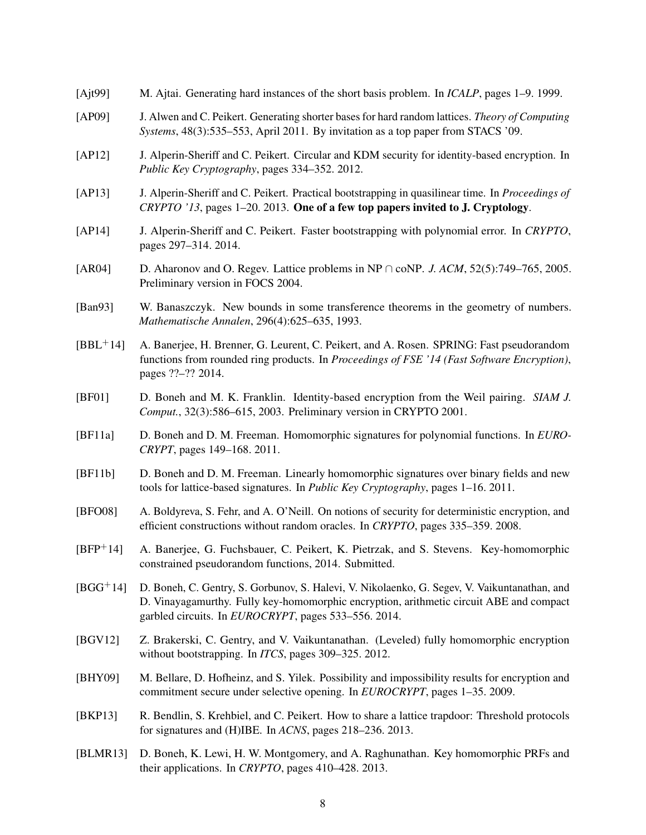- <span id="page-7-10"></span>[Ajt99] M. Ajtai. Generating hard instances of the short basis problem. In *ICALP*, pages 1–9. 1999.
- <span id="page-7-9"></span>[AP09] J. Alwen and C. Peikert. Generating shorter bases for hard random lattices. *Theory of Computing Systems*, 48(3):535–553, April 2011. By invitation as a top paper from STACS '09.
- <span id="page-7-6"></span>[AP12] J. Alperin-Sheriff and C. Peikert. Circular and KDM security for identity-based encryption. In *Public Key Cryptography*, pages 334–352. 2012.
- <span id="page-7-14"></span>[AP13] J. Alperin-Sheriff and C. Peikert. Practical bootstrapping in quasilinear time. In *Proceedings of CRYPTO '13*, pages 1–20. 2013. One of a few top papers invited to J. Cryptology.
- <span id="page-7-11"></span>[AP14] J. Alperin-Sheriff and C. Peikert. Faster bootstrapping with polynomial error. In *CRYPTO*, pages 297–314. 2014.
- <span id="page-7-1"></span>[AR04] D. Aharonov and O. Regev. Lattice problems in NP ∩ coNP. *J. ACM*, 52(5):749–765, 2005. Preliminary version in FOCS 2004.
- <span id="page-7-0"></span>[Ban93] W. Banaszczyk. New bounds in some transference theorems in the geometry of numbers. *Mathematische Annalen*, 296(4):625–635, 1993.
- <span id="page-7-17"></span>[BBL+14] A. Banerjee, H. Brenner, G. Leurent, C. Peikert, and A. Rosen. SPRING: Fast pseudorandom functions from rounded ring products. In *Proceedings of FSE '14 (Fast Software Encryption)*, pages ??–?? 2014.
- <span id="page-7-8"></span>[BF01] D. Boneh and M. K. Franklin. Identity-based encryption from the Weil pairing. *SIAM J. Comput.*, 32(3):586–615, 2003. Preliminary version in CRYPTO 2001.
- <span id="page-7-5"></span>[BF11a] D. Boneh and D. M. Freeman. Homomorphic signatures for polynomial functions. In *EURO-CRYPT*, pages 149–168. 2011.
- <span id="page-7-4"></span>[BF11b] D. Boneh and D. M. Freeman. Linearly homomorphic signatures over binary fields and new tools for lattice-based signatures. In *Public Key Cryptography*, pages 1–16. 2011.
- <span id="page-7-2"></span>[BFO08] A. Boldyreva, S. Fehr, and A. O'Neill. On notions of security for deterministic encryption, and efficient constructions without random oracles. In *CRYPTO*, pages 335–359. 2008.
- <span id="page-7-16"></span>[BFP+14] A. Banerjee, G. Fuchsbauer, C. Peikert, K. Pietrzak, and S. Stevens. Key-homomorphic constrained pseudorandom functions, 2014. Submitted.
- <span id="page-7-7"></span>[BGG+14] D. Boneh, C. Gentry, S. Gorbunov, S. Halevi, V. Nikolaenko, G. Segev, V. Vaikuntanathan, and D. Vinayagamurthy. Fully key-homomorphic encryption, arithmetic circuit ABE and compact garbled circuits. In *EUROCRYPT*, pages 533–556. 2014.
- <span id="page-7-13"></span>[BGV12] Z. Brakerski, C. Gentry, and V. Vaikuntanathan. (Leveled) fully homomorphic encryption without bootstrapping. In *ITCS*, pages 309–325. 2012.
- <span id="page-7-3"></span>[BHY09] M. Bellare, D. Hofheinz, and S. Yilek. Possibility and impossibility results for encryption and commitment secure under selective opening. In *EUROCRYPT*, pages 1–35. 2009.
- <span id="page-7-12"></span>[BKP13] R. Bendlin, S. Krehbiel, and C. Peikert. How to share a lattice trapdoor: Threshold protocols for signatures and (H)IBE. In *ACNS*, pages 218–236. 2013.
- <span id="page-7-15"></span>[BLMR13] D. Boneh, K. Lewi, H. W. Montgomery, and A. Raghunathan. Key homomorphic PRFs and their applications. In *CRYPTO*, pages 410–428. 2013.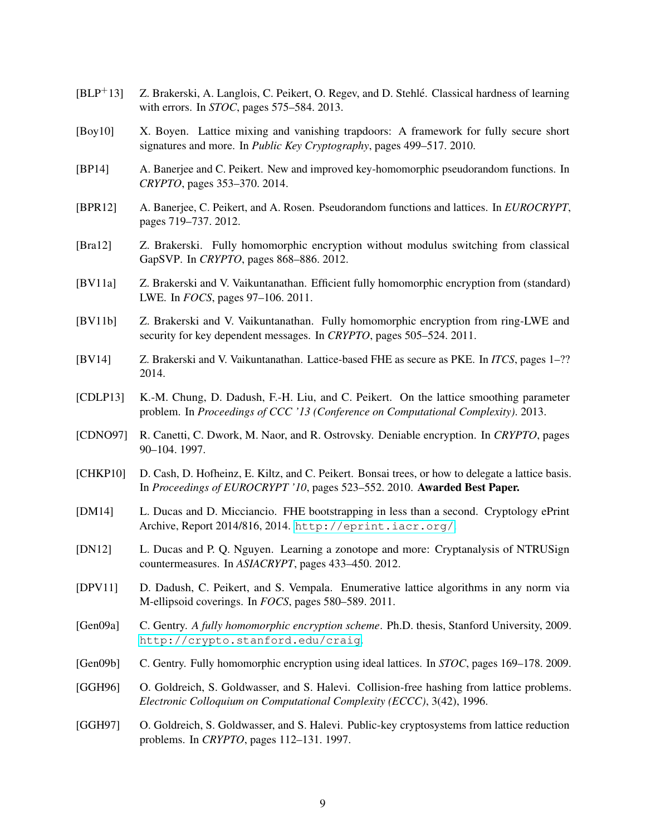- <span id="page-8-1"></span>[BLP+13] Z. Brakerski, A. Langlois, C. Peikert, O. Regev, and D. Stehle. Classical hardness of learning ´ with errors. In *STOC*, pages 575–584. 2013.
- <span id="page-8-4"></span>[Boy10] X. Boyen. Lattice mixing and vanishing trapdoors: A framework for fully secure short signatures and more. In *Public Key Cryptography*, pages 499–517. 2010.
- <span id="page-8-16"></span>[BP14] A. Banerjee and C. Peikert. New and improved key-homomorphic pseudorandom functions. In *CRYPTO*, pages 353–370. 2014.
- <span id="page-8-15"></span>[BPR12] A. Banerjee, C. Peikert, and A. Rosen. Pseudorandom functions and lattices. In *EUROCRYPT*, pages 719–737. 2012.
- <span id="page-8-12"></span>[Bra12] Z. Brakerski. Fully homomorphic encryption without modulus switching from classical GapSVP. In *CRYPTO*, pages 868–886. 2012.
- <span id="page-8-11"></span>[BV11a] Z. Brakerski and V. Vaikuntanathan. Efficient fully homomorphic encryption from (standard) LWE. In *FOCS*, pages 97–106. 2011.
- <span id="page-8-10"></span>[BV11b] Z. Brakerski and V. Vaikuntanathan. Fully homomorphic encryption from ring-LWE and security for key dependent messages. In *CRYPTO*, pages 505–524. 2011.
- <span id="page-8-13"></span>[BV14] Z. Brakerski and V. Vaikuntanathan. Lattice-based FHE as secure as PKE. In *ITCS*, pages 1–?? 2014.
- <span id="page-8-2"></span>[CDLP13] K.-M. Chung, D. Dadush, F.-H. Liu, and C. Peikert. On the lattice smoothing parameter problem. In *Proceedings of CCC '13 (Conference on Computational Complexity)*. 2013.
- <span id="page-8-7"></span>[CDNO97] R. Canetti, C. Dwork, M. Naor, and R. Ostrovsky. Deniable encryption. In *CRYPTO*, pages 90–104. 1997.
- <span id="page-8-3"></span>[CHKP10] D. Cash, D. Hofheinz, E. Kiltz, and C. Peikert. Bonsai trees, or how to delegate a lattice basis. In *Proceedings of EUROCRYPT '10*, pages 523–552. 2010. Awarded Best Paper.
- <span id="page-8-14"></span>[DM14] L. Ducas and D. Micciancio. FHE bootstrapping in less than a second. Cryptology ePrint Archive, Report 2014/816, 2014. <http://eprint.iacr.org/>.
- <span id="page-8-5"></span>[DN12] L. Ducas and P. Q. Nguyen. Learning a zonotope and more: Cryptanalysis of NTRUSign countermeasures. In *ASIACRYPT*, pages 433–450. 2012.
- <span id="page-8-17"></span>[DPV11] D. Dadush, C. Peikert, and S. Vempala. Enumerative lattice algorithms in any norm via M-ellipsoid coverings. In *FOCS*, pages 580–589. 2011.
- <span id="page-8-9"></span>[Gen09a] C. Gentry. *A fully homomorphic encryption scheme*. Ph.D. thesis, Stanford University, 2009. <http://crypto.stanford.edu/craig>.
- <span id="page-8-8"></span>[Gen09b] C. Gentry. Fully homomorphic encryption using ideal lattices. In *STOC*, pages 169–178. 2009.
- <span id="page-8-0"></span>[GGH96] O. Goldreich, S. Goldwasser, and S. Halevi. Collision-free hashing from lattice problems. *Electronic Colloquium on Computational Complexity (ECCC)*, 3(42), 1996.
- <span id="page-8-6"></span>[GGH97] O. Goldreich, S. Goldwasser, and S. Halevi. Public-key cryptosystems from lattice reduction problems. In *CRYPTO*, pages 112–131. 1997.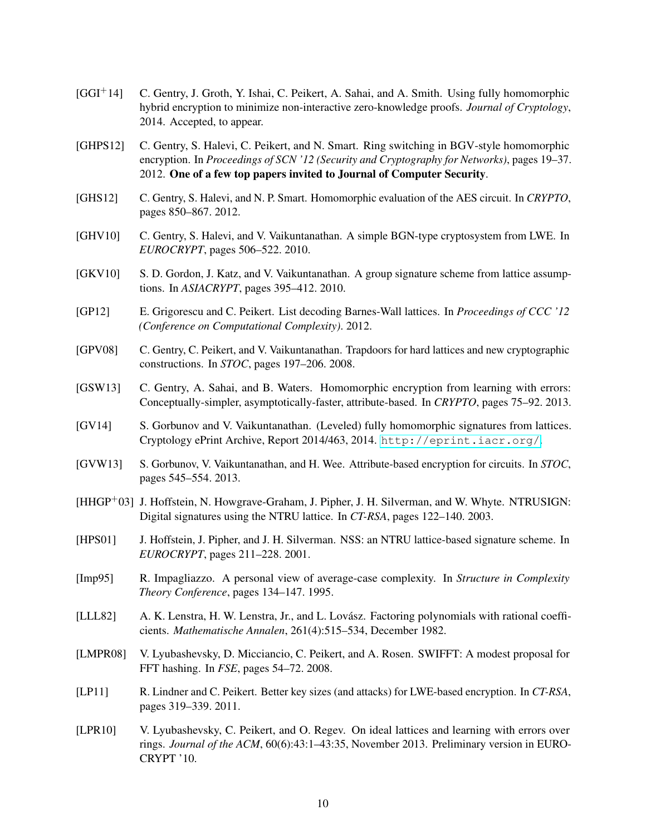- <span id="page-9-14"></span>[GGI+14] C. Gentry, J. Groth, Y. Ishai, C. Peikert, A. Sahai, and A. Smith. Using fully homomorphic hybrid encryption to minimize non-interactive zero-knowledge proofs. *Journal of Cryptology*, 2014. Accepted, to appear.
- <span id="page-9-11"></span>[GHPS12] C. Gentry, S. Halevi, C. Peikert, and N. Smart. Ring switching in BGV-style homomorphic encryption. In *Proceedings of SCN '12 (Security and Cryptography for Networks)*, pages 19–37. 2012. One of a few top papers invited to Journal of Computer Security.
- <span id="page-9-15"></span>[GHS12] C. Gentry, S. Halevi, and N. P. Smart. Homomorphic evaluation of the AES circuit. In *CRYPTO*, pages 850–867. 2012.
- <span id="page-9-4"></span>[GHV10] C. Gentry, S. Halevi, and V. Vaikuntanathan. A simple BGN-type cryptosystem from LWE. In *EUROCRYPT*, pages 506–522. 2010.
- <span id="page-9-5"></span>[GKV10] S. D. Gordon, J. Katz, and V. Vaikuntanathan. A group signature scheme from lattice assumptions. In *ASIACRYPT*, pages 395–412. 2010.
- <span id="page-9-16"></span>[GP12] E. Grigorescu and C. Peikert. List decoding Barnes-Wall lattices. In *Proceedings of CCC '12 (Conference on Computational Complexity)*. 2012.
- <span id="page-9-2"></span>[GPV08] C. Gentry, C. Peikert, and V. Vaikuntanathan. Trapdoors for hard lattices and new cryptographic constructions. In *STOC*, pages 197–206. 2008.
- <span id="page-9-7"></span>[GSW13] C. Gentry, A. Sahai, and B. Waters. Homomorphic encryption from learning with errors: Conceptually-simpler, asymptotically-faster, attribute-based. In *CRYPTO*, pages 75–92. 2013.
- <span id="page-9-8"></span>[GV14] S. Gorbunov and V. Vaikuntanathan. (Leveled) fully homomorphic signatures from lattices. Cryptology ePrint Archive, Report 2014/463, 2014. <http://eprint.iacr.org/>.
- <span id="page-9-6"></span>[GVW13] S. Gorbunov, V. Vaikuntanathan, and H. Wee. Attribute-based encryption for circuits. In *STOC*, pages 545–554. 2013.
- <span id="page-9-10"></span>[HHGP+03] J. Hoffstein, N. Howgrave-Graham, J. Pipher, J. H. Silverman, and W. Whyte. NTRUSIGN: Digital signatures using the NTRU lattice. In *CT-RSA*, pages 122–140. 2003.
- <span id="page-9-9"></span>[HPS01] J. Hoffstein, J. Pipher, and J. H. Silverman. NSS: an NTRU lattice-based signature scheme. In *EUROCRYPT*, pages 211–228. 2001.
- <span id="page-9-0"></span>[Imp95] R. Impagliazzo. A personal view of average-case complexity. In *Structure in Complexity Theory Conference*, pages 134–147. 1995.
- <span id="page-9-1"></span>[LLL82] A. K. Lenstra, H. W. Lenstra, Jr., and L. Lovasz. Factoring polynomials with rational coeffi- ´ cients. *Mathematische Annalen*, 261(4):515–534, December 1982.
- <span id="page-9-13"></span>[LMPR08] V. Lyubashevsky, D. Micciancio, C. Peikert, and A. Rosen. SWIFFT: A modest proposal for FFT hashing. In *FSE*, pages 54–72. 2008.
- <span id="page-9-12"></span>[LP11] R. Lindner and C. Peikert. Better key sizes (and attacks) for LWE-based encryption. In *CT-RSA*, pages 319–339. 2011.
- <span id="page-9-3"></span>[LPR10] V. Lyubashevsky, C. Peikert, and O. Regev. On ideal lattices and learning with errors over rings. *Journal of the ACM*, 60(6):43:1–43:35, November 2013. Preliminary version in EURO-CRYPT '10.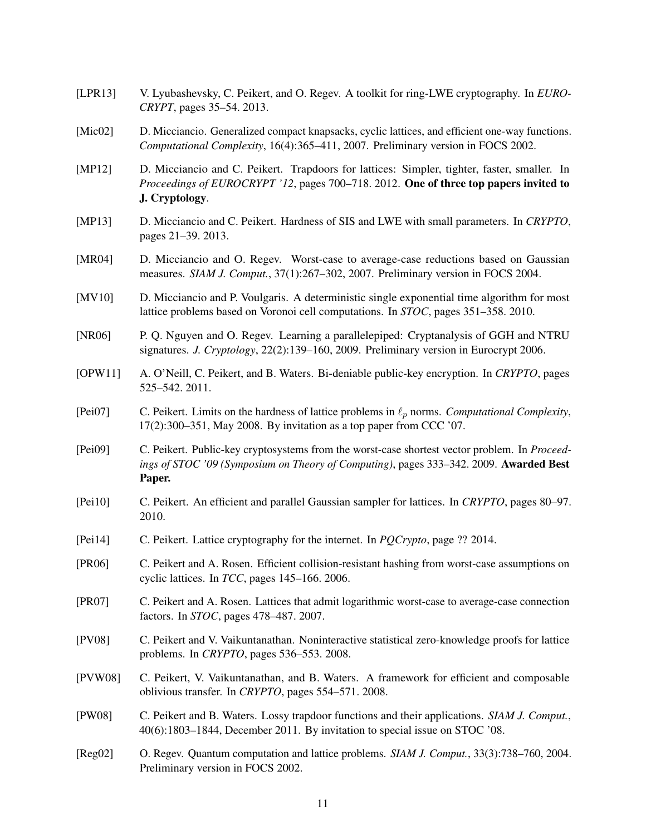- <span id="page-10-15"></span>[LPR13] V. Lyubashevsky, C. Peikert, and O. Regev. A toolkit for ring-LWE cryptography. In *EURO-CRYPT*, pages 35–54. 2013.
- <span id="page-10-7"></span>[Mic02] D. Micciancio. Generalized compact knapsacks, cyclic lattices, and efficient one-way functions. *Computational Complexity*, 16(4):365–411, 2007. Preliminary version in FOCS 2002.
- <span id="page-10-4"></span>[MP12] D. Micciancio and C. Peikert. Trapdoors for lattices: Simpler, tighter, faster, smaller. In *Proceedings of EUROCRYPT '12*, pages 700–718. 2012. **One of three top papers invited to** J. Cryptology.
- <span id="page-10-5"></span>[MP13] D. Micciancio and C. Peikert. Hardness of SIS and LWE with small parameters. In *CRYPTO*, pages 21–39. 2013.
- <span id="page-10-10"></span>[MR04] D. Micciancio and O. Regev. Worst-case to average-case reductions based on Gaussian measures. *SIAM J. Comput.*, 37(1):267–302, 2007. Preliminary version in FOCS 2004.
- <span id="page-10-17"></span>[MV10] D. Micciancio and P. Voulgaris. A deterministic single exponential time algorithm for most lattice problems based on Voronoi cell computations. In *STOC*, pages 351–358. 2010.
- <span id="page-10-14"></span>[NR06] P. Q. Nguyen and O. Regev. Learning a parallelepiped: Cryptanalysis of GGH and NTRU signatures. *J. Cryptology*, 22(2):139–160, 2009. Preliminary version in Eurocrypt 2006.
- <span id="page-10-3"></span>[OPW11] A. O'Neill, C. Peikert, and B. Waters. Bi-deniable public-key encryption. In *CRYPTO*, pages 525–542. 2011.
- <span id="page-10-1"></span>[Pei07] C. Peikert. Limits on the hardness of lattice problems in  $\ell_p$  norms. *Computational Complexity*, 17(2):300–351, May 2008. By invitation as a top paper from CCC '07.
- <span id="page-10-6"></span>[Pei09] C. Peikert. Public-key cryptosystems from the worst-case shortest vector problem. In *Proceedings of STOC '09 (Symposium on Theory of Computing)*, pages 333–342. 2009. Awarded Best Paper.
- <span id="page-10-2"></span>[Pei10] C. Peikert. An efficient and parallel Gaussian sampler for lattices. In *CRYPTO*, pages 80–97. 2010.
- <span id="page-10-16"></span>[Pei14] C. Peikert. Lattice cryptography for the internet. In *PQCrypto*, page ?? 2014.
- <span id="page-10-8"></span>[PR06] C. Peikert and A. Rosen. Efficient collision-resistant hashing from worst-case assumptions on cyclic lattices. In *TCC*, pages 145–166. 2006.
- <span id="page-10-9"></span>[PR07] C. Peikert and A. Rosen. Lattices that admit logarithmic worst-case to average-case connection factors. In *STOC*, pages 478–487. 2007.
- <span id="page-10-13"></span>[PV08] C. Peikert and V. Vaikuntanathan. Noninteractive statistical zero-knowledge proofs for lattice problems. In *CRYPTO*, pages 536–553. 2008.
- <span id="page-10-12"></span>[PVW08] C. Peikert, V. Vaikuntanathan, and B. Waters. A framework for efficient and composable oblivious transfer. In *CRYPTO*, pages 554–571. 2008.
- <span id="page-10-11"></span>[PW08] C. Peikert and B. Waters. Lossy trapdoor functions and their applications. *SIAM J. Comput.*, 40(6):1803–1844, December 2011. By invitation to special issue on STOC '08.
- <span id="page-10-0"></span>[Reg02] O. Regev. Quantum computation and lattice problems. *SIAM J. Comput.*, 33(3):738–760, 2004. Preliminary version in FOCS 2002.